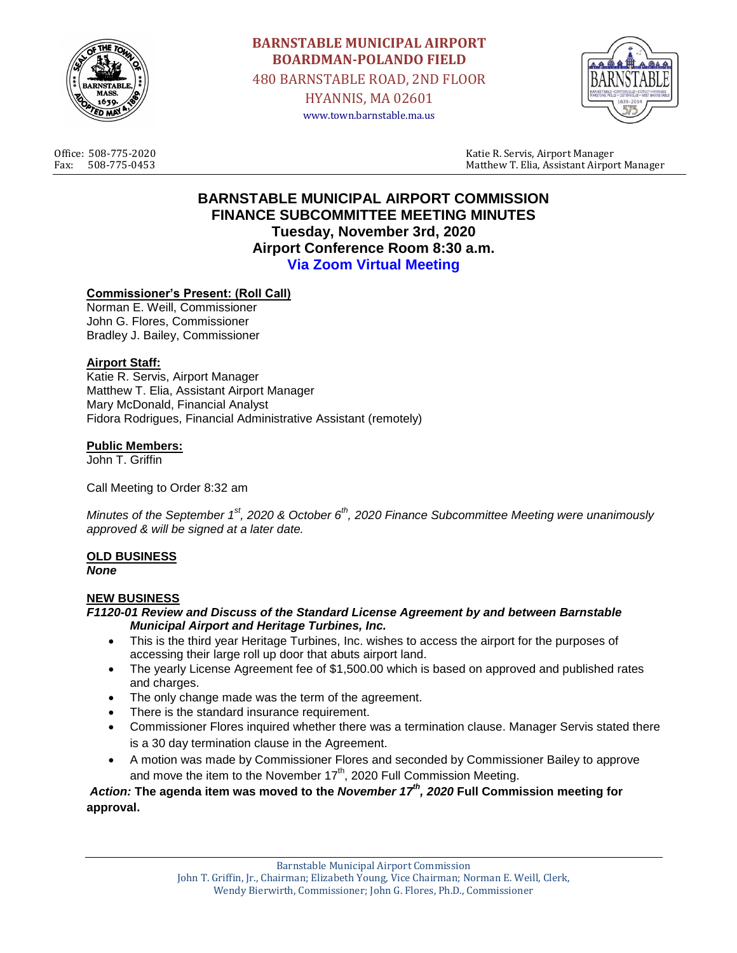

**BARNSTABLE MUNICIPAL AIRPORT BOARDMAN-POLANDO FIELD** 480 BARNSTABLE ROAD, 2ND FLOOR HYANNIS, MA 02601 www.town.barnstable.ma.us



Office: 508-775-2020 Katie R. Servis, Airport Manager Fax: 508-775-0453 Matthew T. Elia, Assistant Airport Manager

# **BARNSTABLE MUNICIPAL AIRPORT COMMISSION FINANCE SUBCOMMITTEE MEETING MINUTES Tuesday, November 3rd, 2020 Airport Conference Room 8:30 a.m. Via Zoom Virtual Meeting**

## **Commissioner's Present: (Roll Call)**

Norman E. Weill, Commissioner John G. Flores, Commissioner Bradley J. Bailey, Commissioner

#### **Airport Staff:**

Katie R. Servis, Airport Manager Matthew T. Elia, Assistant Airport Manager Mary McDonald, Financial Analyst Fidora Rodrigues, Financial Administrative Assistant (remotely)

#### **Public Members:**

John T. Griffin

Call Meeting to Order 8:32 am

*Minutes of the September 1st, 2020 & October 6th, 2020 Finance Subcommittee Meeting were unanimously approved & will be signed at a later date.*

### **OLD BUSINESS**

*None*

### **NEW BUSINESS**

#### *F1120-01 Review and Discuss of the Standard License Agreement by and between Barnstable Municipal Airport and Heritage Turbines, Inc.*

- This is the third year Heritage Turbines, Inc. wishes to access the airport for the purposes of accessing their large roll up door that abuts airport land.
- The yearly License Agreement fee of \$1,500.00 which is based on approved and published rates and charges.
- The only change made was the term of the agreement.
- There is the standard insurance requirement.
- Commissioner Flores inquired whether there was a termination clause. Manager Servis stated there is a 30 day termination clause in the Agreement.
- A motion was made by Commissioner Flores and seconded by Commissioner Bailey to approve and move the item to the November  $17<sup>th</sup>$ , 2020 Full Commission Meeting.

*Action:* **The agenda item was moved to the** *November 17th, 2020* **Full Commission meeting for approval.**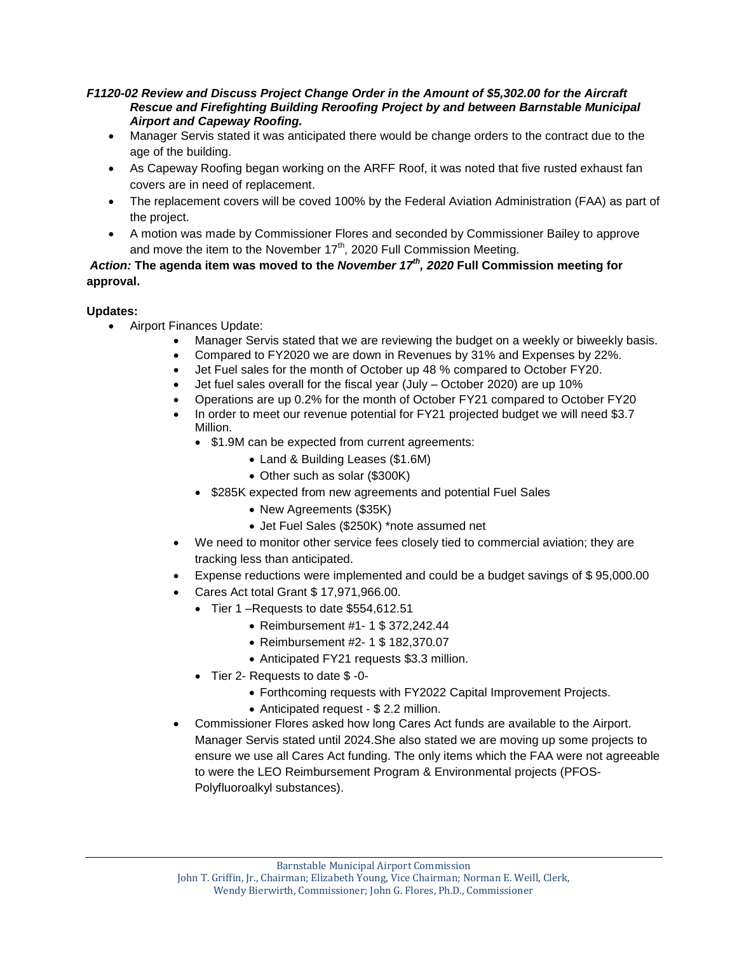### *F1120-02 Review and Discuss Project Change Order in the Amount of \$5,302.00 for the Aircraft Rescue and Firefighting Building Reroofing Project by and between Barnstable Municipal Airport and Capeway Roofing.*

- Manager Servis stated it was anticipated there would be change orders to the contract due to the age of the building.
- As Capeway Roofing began working on the ARFF Roof, it was noted that five rusted exhaust fan covers are in need of replacement.
- The replacement covers will be coved 100% by the Federal Aviation Administration (FAA) as part of the project.
- A motion was made by Commissioner Flores and seconded by Commissioner Bailey to approve and move the item to the November  $17<sup>th</sup>$ , 2020 Full Commission Meeting.

# *Action:* **The agenda item was moved to the** *November 17th, 2020* **Full Commission meeting for approval.**

## **Updates:**

- Airport Finances Update:
	- Manager Servis stated that we are reviewing the budget on a weekly or biweekly basis.
	- Compared to FY2020 we are down in Revenues by 31% and Expenses by 22%.
	- Jet Fuel sales for the month of October up 48 % compared to October FY20.
	- Jet fuel sales overall for the fiscal year (July October 2020) are up 10%
	- Operations are up 0.2% for the month of October FY21 compared to October FY20
	- In order to meet our revenue potential for FY21 projected budget we will need \$3.7 Million.
		- \$1.9M can be expected from current agreements:
			- Land & Building Leases (\$1.6M)
			- Other such as solar (\$300K)
		- \$285K expected from new agreements and potential Fuel Sales
			- New Agreements (\$35K)
			- Jet Fuel Sales (\$250K) \*note assumed net
	- We need to monitor other service fees closely tied to commercial aviation; they are tracking less than anticipated.
	- Expense reductions were implemented and could be a budget savings of \$ 95,000.00
	- Cares Act total Grant \$ 17,971,966.00.
		- Tier 1 Requests to date \$554,612.51
			- Reimbursement #1- 1 \$ 372,242.44
			- Reimbursement #2- 1 \$ 182,370.07
			- Anticipated FY21 requests \$3.3 million.
		- Tier 2- Requests to date \$ -0-
			- Forthcoming requests with FY2022 Capital Improvement Projects.
			- Anticipated request \$ 2.2 million.
	- Commissioner Flores asked how long Cares Act funds are available to the Airport. Manager Servis stated until 2024.She also stated we are moving up some projects to ensure we use all Cares Act funding. The only items which the FAA were not agreeable to were the LEO Reimbursement Program & Environmental projects (PFOS-Polyfluoroalkyl substances).